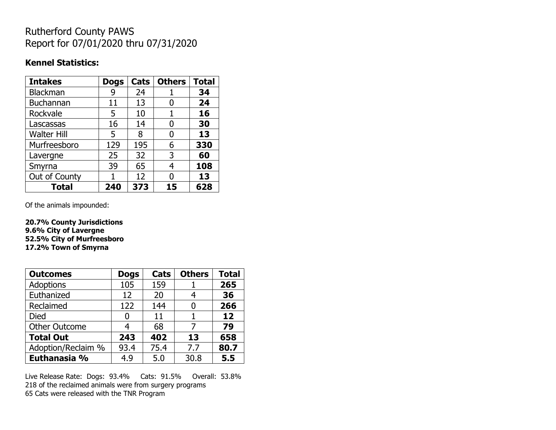## Rutherford County PAWS Report for 07/01/2020 thru 07/31/2020

## **Kennel Statistics:**

| <b>Intakes</b>     | <b>Dogs</b> | Cats | <b>Others</b> | <b>Total</b> |
|--------------------|-------------|------|---------------|--------------|
| <b>Blackman</b>    | 9           | 24   |               | 34           |
| <b>Buchannan</b>   | 11          | 13   |               | 24           |
| Rockvale           | 5           | 10   | 1             | 16           |
| Lascassas          | 16          | 14   | 0             | 30           |
| <b>Walter Hill</b> | 5           | 8    | 0             | 13           |
| Murfreesboro       | 129         | 195  | 6             | 330          |
| Lavergne           | 25          | 32   | 3             | 60           |
| Smyrna             | 39          | 65   | 4             | 108          |
| Out of County      |             | 12   | N             | 13           |
| <b>Total</b>       | 240         | 373  | 15            | 628          |

Of the animals impounded:

**20.7% County Jurisdictions 9.6% City of Lavergne 52.5% City of Murfreesboro 17.2% Town of Smyrna**

| <b>Outcomes</b>      | <b>Dogs</b> | Cats | <b>Others</b> | <b>Total</b> |
|----------------------|-------------|------|---------------|--------------|
| Adoptions            | 105         | 159  |               | 265          |
| Euthanized           | 12          | 20   | 4             | 36           |
| Reclaimed            | 122         | 144  |               | 266          |
| Died                 | 0           | 11   |               | 12           |
| <b>Other Outcome</b> | 4           | 68   | 7             | 79           |
| <b>Total Out</b>     | 243         | 402  | 13            | 658          |
| Adoption/Reclaim %   | 93.4        | 75.4 | 7.7           | 80.7         |
| Euthanasia %         | 4.9         | 5.0  | 30.8          | 5.5          |

Live Release Rate: Dogs: 93.4% Cats: 91.5% Overall: 53.8% 218 of the reclaimed animals were from surgery programs 65 Cats were released with the TNR Program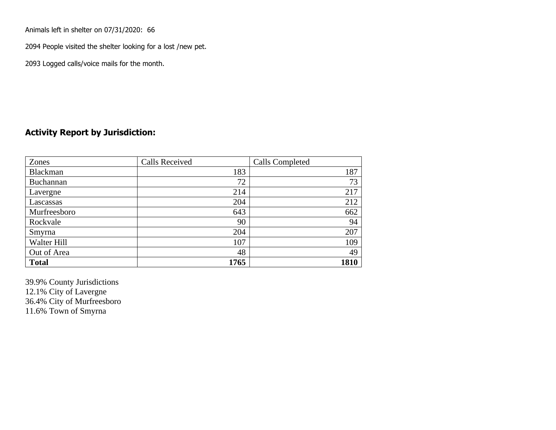Animals left in shelter on 07/31/2020: 66

2094 People visited the shelter looking for a lost /new pet.

2093 Logged calls/voice mails for the month.

## **Activity Report by Jurisdiction:**

| Zones           | <b>Calls Received</b> | Calls Completed |
|-----------------|-----------------------|-----------------|
| <b>Blackman</b> | 183                   | 187             |
| Buchannan       | 72                    | 73              |
| Lavergne        | 214                   | 217             |
| Lascassas       | 204                   | 212             |
| Murfreesboro    | 643                   | 662             |
| Rockvale        | 90                    | 94              |
| Smyrna          | 204                   | 207             |
| Walter Hill     | 107                   | 109             |
| Out of Area     | 48                    | 49              |
| <b>Total</b>    | 1765                  | 1810            |

39.9% County Jurisdictions 12.1% City of Lavergne 36.4% City of Murfreesboro 11.6% Town of Smyrna